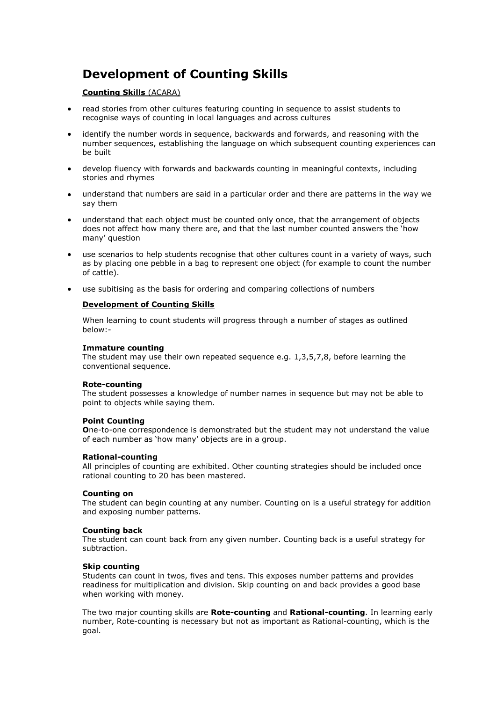# **Development of Counting Skills**

## **Counting Skills** (ACARA)

- read stories from other cultures featuring counting in sequence to assist students to recognise ways of counting in local languages and across cultures
- identify the number words in sequence, backwards and forwards, and reasoning with the number sequences, establishing the language on which subsequent counting experiences can be built
- develop fluency with forwards and backwards counting in meaningful contexts, including stories and rhymes
- understand that numbers are said in a particular order and there are patterns in the way we say them
- understand that each object must be counted only once, that the arrangement of objects does not affect how many there are, and that the last number counted answers the 'how many' question
- use scenarios to help students recognise that other cultures count in a variety of ways, such as by placing one pebble in a bag to represent one object (for example to count the number of cattle).
- use subitising as the basis for ordering and comparing collections of numbers

## **Development of Counting Skills**

When learning to count students will progress through a number of stages as outlined below:-

### **Immature counting**

The student may use their own repeated sequence e.g. 1,3,5,7,8, before learning the conventional sequence.

#### **Rote-counting**

The student possesses a knowledge of number names in sequence but may not be able to point to objects while saying them.

#### **Point Counting**

**O**ne-to-one correspondence is demonstrated but the student may not understand the value of each number as 'how many' objects are in a group.

#### **Rational-counting**

All principles of counting are exhibited. Other counting strategies should be included once rational counting to 20 has been mastered.

#### **Counting on**

The student can begin counting at any number. Counting on is a useful strategy for addition and exposing number patterns.

#### **Counting back**

The student can count back from any given number. Counting back is a useful strategy for subtraction.

#### **Skip counting**

Students can count in twos, fives and tens. This exposes number patterns and provides readiness for multiplication and division. Skip counting on and back provides a good base when working with money.

The two major counting skills are **Rote-counting** and **Rational-counting**. In learning early number, Rote-counting is necessary but not as important as Rational-counting, which is the goal.